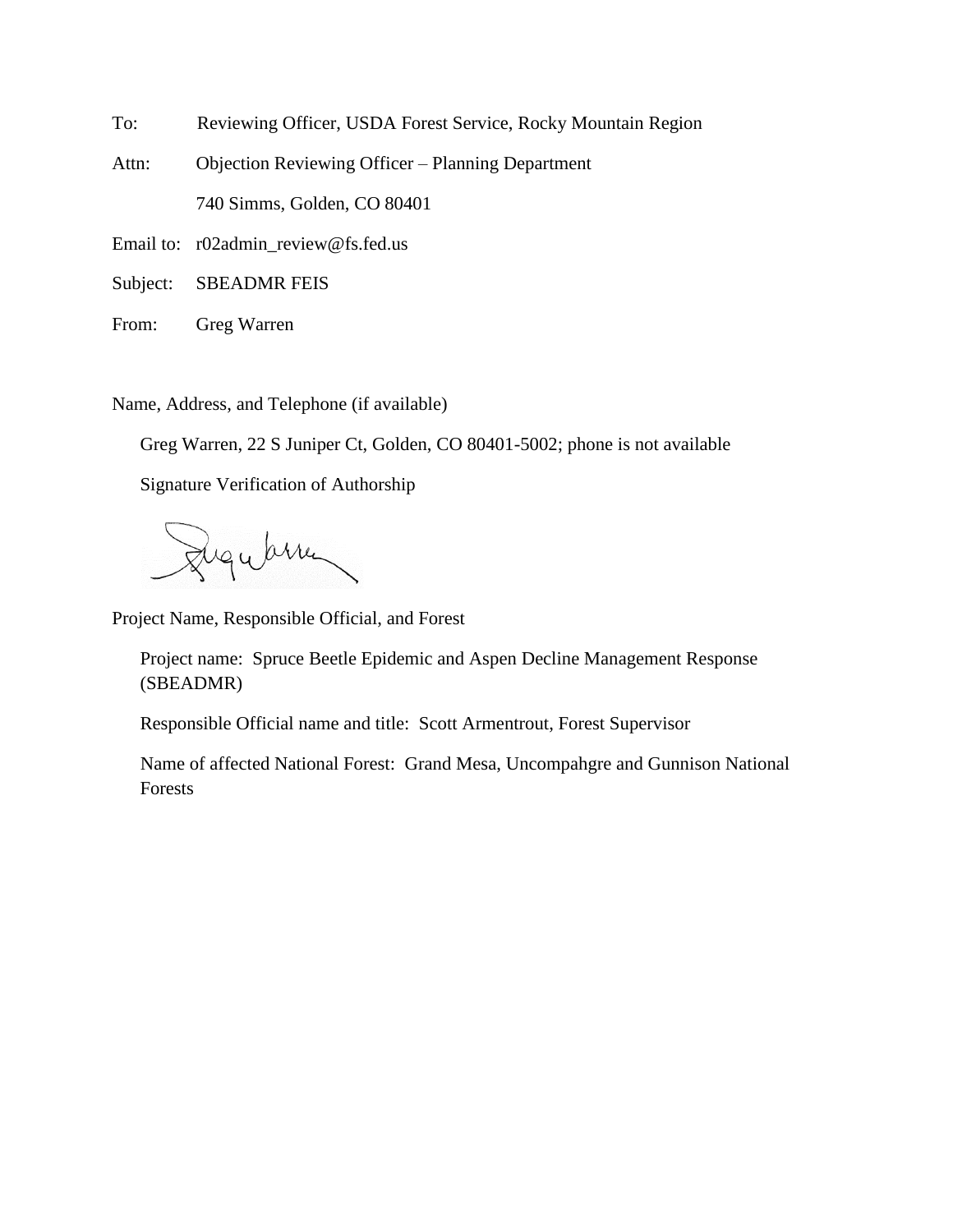To: Reviewing Officer, USDA Forest Service, Rocky Mountain Region

Attn: Objection Reviewing Officer – Planning Department 740 Simms, Golden, CO 80401

Email to: r02admin\_review@fs.fed.us

Subject: SBEADMR FEIS

From: Greg Warren

Name, Address, and Telephone (if available)

Greg Warren, 22 S Juniper Ct, Golden, CO 80401-5002; phone is not available

Signature Verification of Authorship

Luguarren

Project Name, Responsible Official, and Forest

Project name: Spruce Beetle Epidemic and Aspen Decline Management Response (SBEADMR)

Responsible Official name and title: Scott Armentrout, Forest Supervisor

Name of affected National Forest: Grand Mesa, Uncompahgre and Gunnison National Forests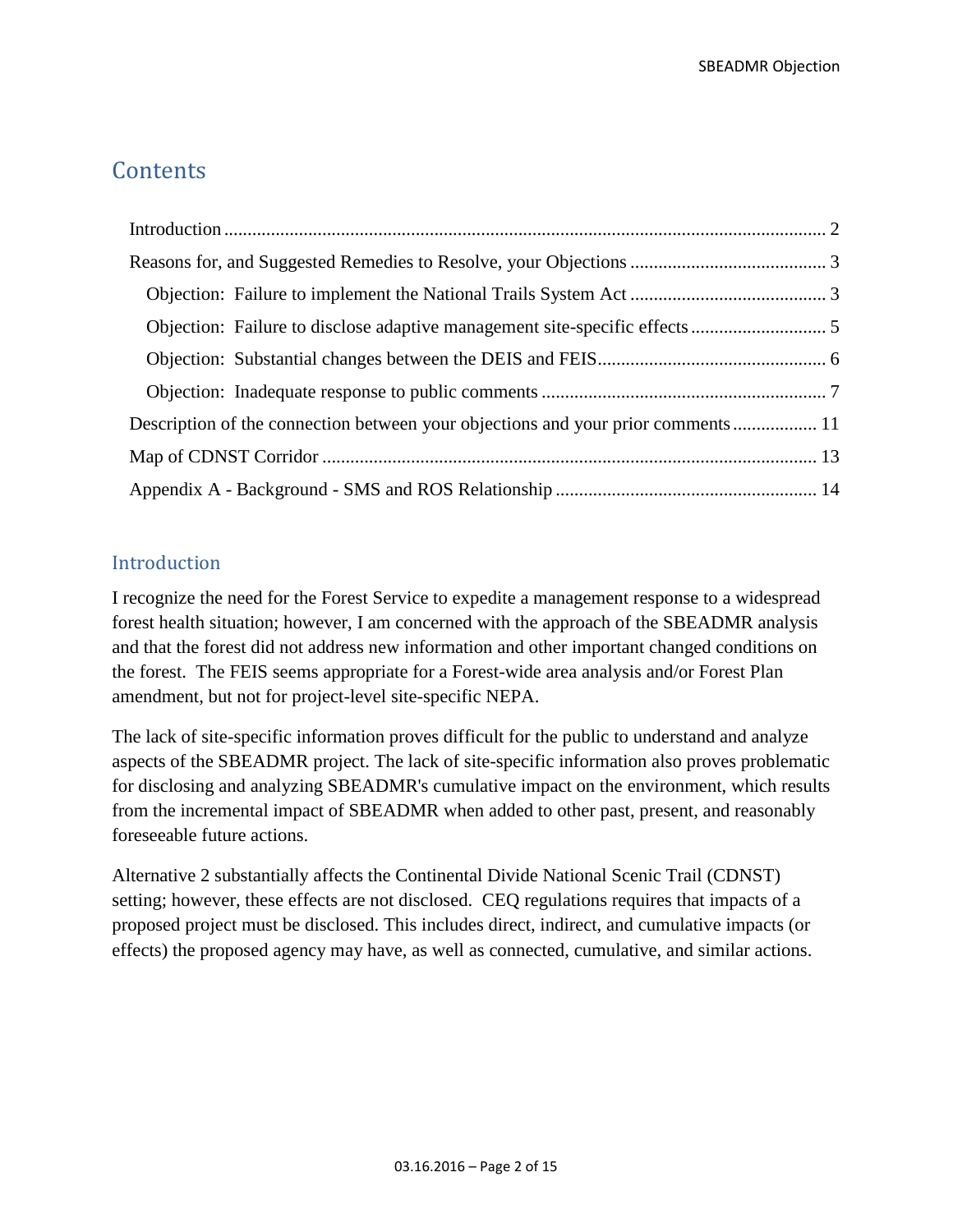# **Contents**

| Description of the connection between your objections and your prior comments 11 |  |
|----------------------------------------------------------------------------------|--|
|                                                                                  |  |
|                                                                                  |  |

# <span id="page-1-0"></span>**Introduction**

I recognize the need for the Forest Service to expedite a management response to a widespread forest health situation; however, I am concerned with the approach of the SBEADMR analysis and that the forest did not address new information and other important changed conditions on the forest. The FEIS seems appropriate for a Forest-wide area analysis and/or Forest Plan amendment, but not for project-level site-specific NEPA.

The lack of site-specific information proves difficult for the public to understand and analyze aspects of the SBEADMR project. The lack of site-specific information also proves problematic for disclosing and analyzing SBEADMR's cumulative impact on the environment, which results from the incremental impact of SBEADMR when added to other past, present, and reasonably foreseeable future actions.

Alternative 2 substantially affects the Continental Divide National Scenic Trail (CDNST) setting; however, these effects are not disclosed. CEQ regulations requires that impacts of a proposed project must be disclosed. This includes direct, indirect, and cumulative impacts (or effects) the proposed agency may have, as well as connected, cumulative, and similar actions.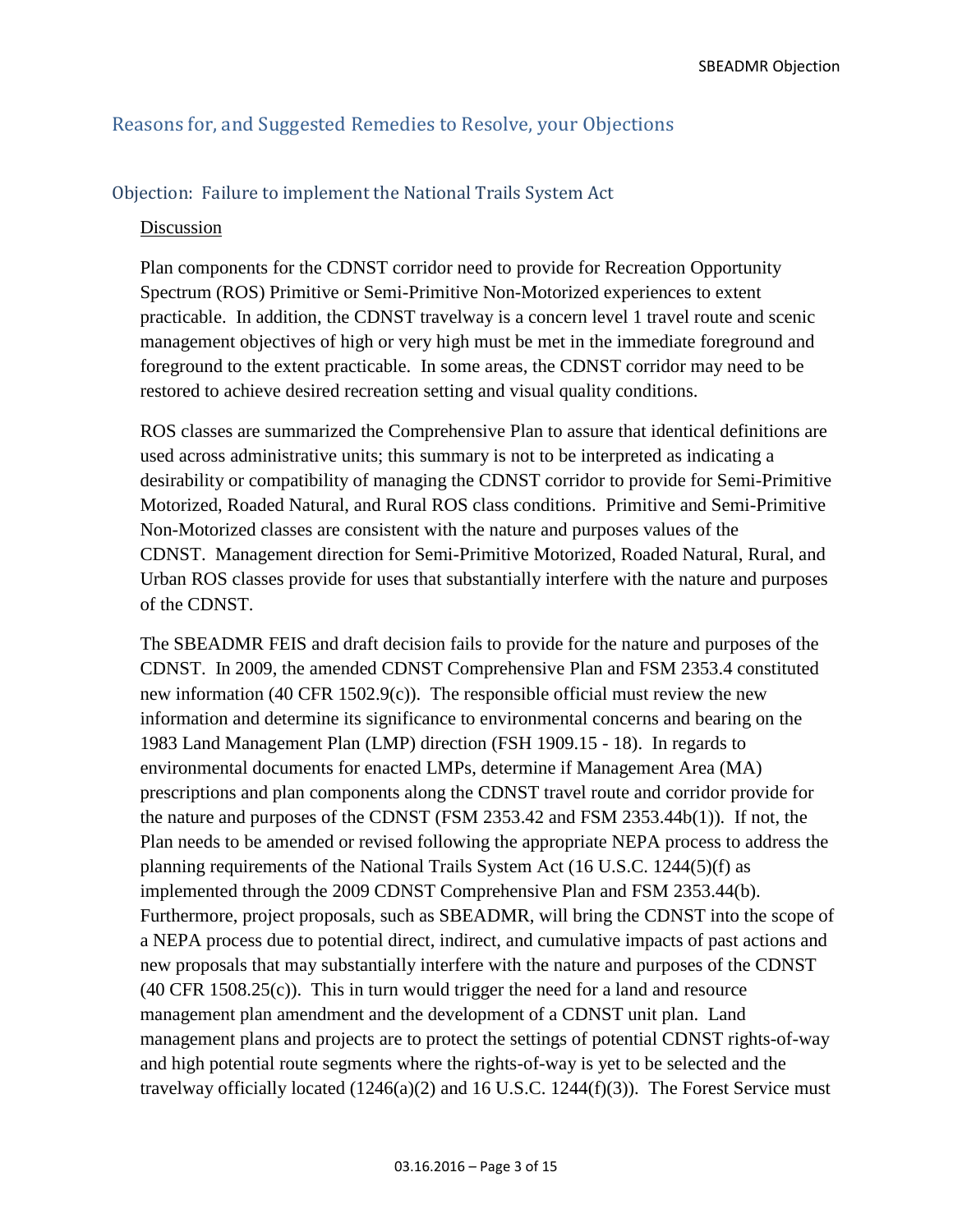## <span id="page-2-0"></span>Reasons for, and Suggested Remedies to Resolve, your Objections

#### <span id="page-2-1"></span>Objection: Failure to implement the National Trails System Act

#### Discussion

Plan components for the CDNST corridor need to provide for Recreation Opportunity Spectrum (ROS) Primitive or Semi-Primitive Non-Motorized experiences to extent practicable. In addition, the CDNST travelway is a concern level 1 travel route and scenic management objectives of high or very high must be met in the immediate foreground and foreground to the extent practicable. In some areas, the CDNST corridor may need to be restored to achieve desired recreation setting and visual quality conditions.

ROS classes are summarized the Comprehensive Plan to assure that identical definitions are used across administrative units; this summary is not to be interpreted as indicating a desirability or compatibility of managing the CDNST corridor to provide for Semi-Primitive Motorized, Roaded Natural, and Rural ROS class conditions. Primitive and Semi-Primitive Non-Motorized classes are consistent with the nature and purposes values of the CDNST. Management direction for Semi-Primitive Motorized, Roaded Natural, Rural, and Urban ROS classes provide for uses that substantially interfere with the nature and purposes of the CDNST.

The SBEADMR FEIS and draft decision fails to provide for the nature and purposes of the CDNST. In 2009, the amended CDNST Comprehensive Plan and FSM 2353.4 constituted new information (40 CFR 1502.9(c)). The responsible official must review the new information and determine its significance to environmental concerns and bearing on the 1983 Land Management Plan (LMP) direction (FSH 1909.15 - 18). In regards to environmental documents for enacted LMPs, determine if Management Area (MA) prescriptions and plan components along the CDNST travel route and corridor provide for the nature and purposes of the CDNST (FSM 2353.42 and FSM 2353.44b(1)). If not, the Plan needs to be amended or revised following the appropriate NEPA process to address the planning requirements of the National Trails System Act (16 U.S.C. 1244(5)(f) as implemented through the 2009 CDNST Comprehensive Plan and FSM 2353.44(b). Furthermore, project proposals, such as SBEADMR, will bring the CDNST into the scope of a NEPA process due to potential direct, indirect, and cumulative impacts of past actions and new proposals that may substantially interfere with the nature and purposes of the CDNST  $(40 \text{ CFR } 1508.25(c))$ . This in turn would trigger the need for a land and resource management plan amendment and the development of a CDNST unit plan. Land management plans and projects are to protect the settings of potential CDNST rights-of-way and high potential route segments where the rights-of-way is yet to be selected and the travelway officially located  $(1246(a)(2)$  and 16 U.S.C. 1244 $(f)(3)$ ). The Forest Service must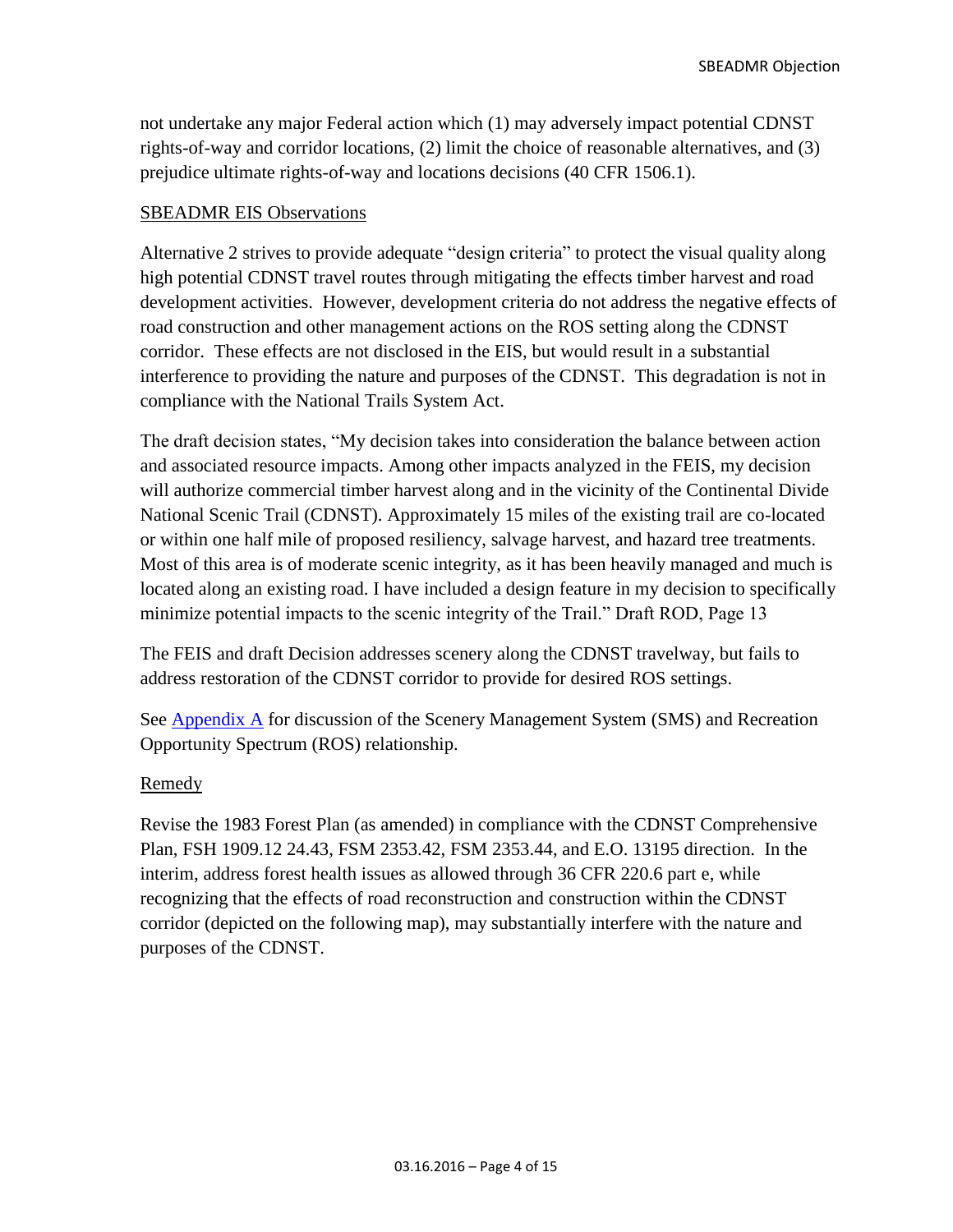not undertake any major Federal action which (1) may adversely impact potential CDNST rights-of-way and corridor locations, (2) limit the choice of reasonable alternatives, and (3) prejudice ultimate rights-of-way and locations decisions (40 CFR 1506.1).

## SBEADMR EIS Observations

Alternative 2 strives to provide adequate "design criteria" to protect the visual quality along high potential CDNST travel routes through mitigating the effects timber harvest and road development activities. However, development criteria do not address the negative effects of road construction and other management actions on the ROS setting along the CDNST corridor. These effects are not disclosed in the EIS, but would result in a substantial interference to providing the nature and purposes of the CDNST. This degradation is not in compliance with the National Trails System Act.

The draft decision states, "My decision takes into consideration the balance between action and associated resource impacts. Among other impacts analyzed in the FEIS, my decision will authorize commercial timber harvest along and in the vicinity of the Continental Divide National Scenic Trail (CDNST). Approximately 15 miles of the existing trail are co-located or within one half mile of proposed resiliency, salvage harvest, and hazard tree treatments. Most of this area is of moderate scenic integrity, as it has been heavily managed and much is located along an existing road. I have included a design feature in my decision to specifically minimize potential impacts to the scenic integrity of the Trail." Draft ROD, Page 13

The FEIS and draft Decision addresses scenery along the CDNST travelway, but fails to address restoration of the CDNST corridor to provide for desired ROS settings.

See [Appendix A](#page-13-0) for discussion of the Scenery Management System (SMS) and Recreation Opportunity Spectrum (ROS) relationship.

## Remedy

Revise the 1983 Forest Plan (as amended) in compliance with the CDNST Comprehensive Plan, FSH 1909.12 24.43, FSM 2353.42, FSM 2353.44, and E.O. 13195 direction. In the interim, address forest health issues as allowed through 36 CFR 220.6 part e, while recognizing that the effects of road reconstruction and construction within the CDNST corridor (depicted on the following map), may substantially interfere with the nature and purposes of the CDNST.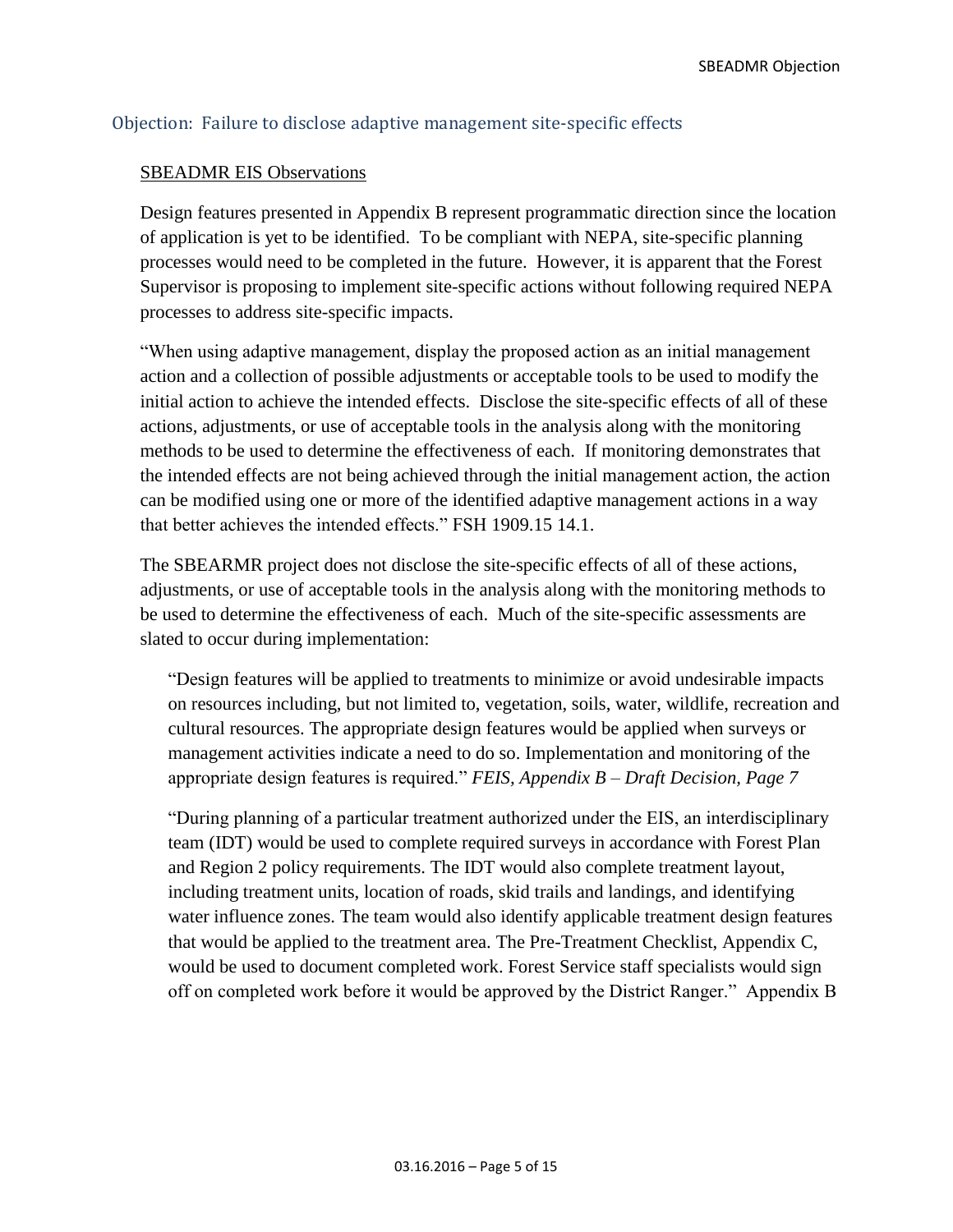### <span id="page-4-0"></span>Objection: Failure to disclose adaptive management site-specific effects

#### SBEADMR EIS Observations

Design features presented in Appendix B represent programmatic direction since the location of application is yet to be identified. To be compliant with NEPA, site-specific planning processes would need to be completed in the future. However, it is apparent that the Forest Supervisor is proposing to implement site-specific actions without following required NEPA processes to address site-specific impacts.

"When using adaptive management, display the proposed action as an initial management action and a collection of possible adjustments or acceptable tools to be used to modify the initial action to achieve the intended effects. Disclose the site-specific effects of all of these actions, adjustments, or use of acceptable tools in the analysis along with the monitoring methods to be used to determine the effectiveness of each. If monitoring demonstrates that the intended effects are not being achieved through the initial management action, the action can be modified using one or more of the identified adaptive management actions in a way that better achieves the intended effects." FSH 1909.15 14.1.

The SBEARMR project does not disclose the site-specific effects of all of these actions, adjustments, or use of acceptable tools in the analysis along with the monitoring methods to be used to determine the effectiveness of each. Much of the site-specific assessments are slated to occur during implementation:

"Design features will be applied to treatments to minimize or avoid undesirable impacts on resources including, but not limited to, vegetation, soils, water, wildlife, recreation and cultural resources. The appropriate design features would be applied when surveys or management activities indicate a need to do so. Implementation and monitoring of the appropriate design features is required." *FEIS, Appendix B – Draft Decision, Page 7*

"During planning of a particular treatment authorized under the EIS, an interdisciplinary team (IDT) would be used to complete required surveys in accordance with Forest Plan and Region 2 policy requirements. The IDT would also complete treatment layout, including treatment units, location of roads, skid trails and landings, and identifying water influence zones. The team would also identify applicable treatment design features that would be applied to the treatment area. The Pre-Treatment Checklist, Appendix C, would be used to document completed work. Forest Service staff specialists would sign off on completed work before it would be approved by the District Ranger." Appendix B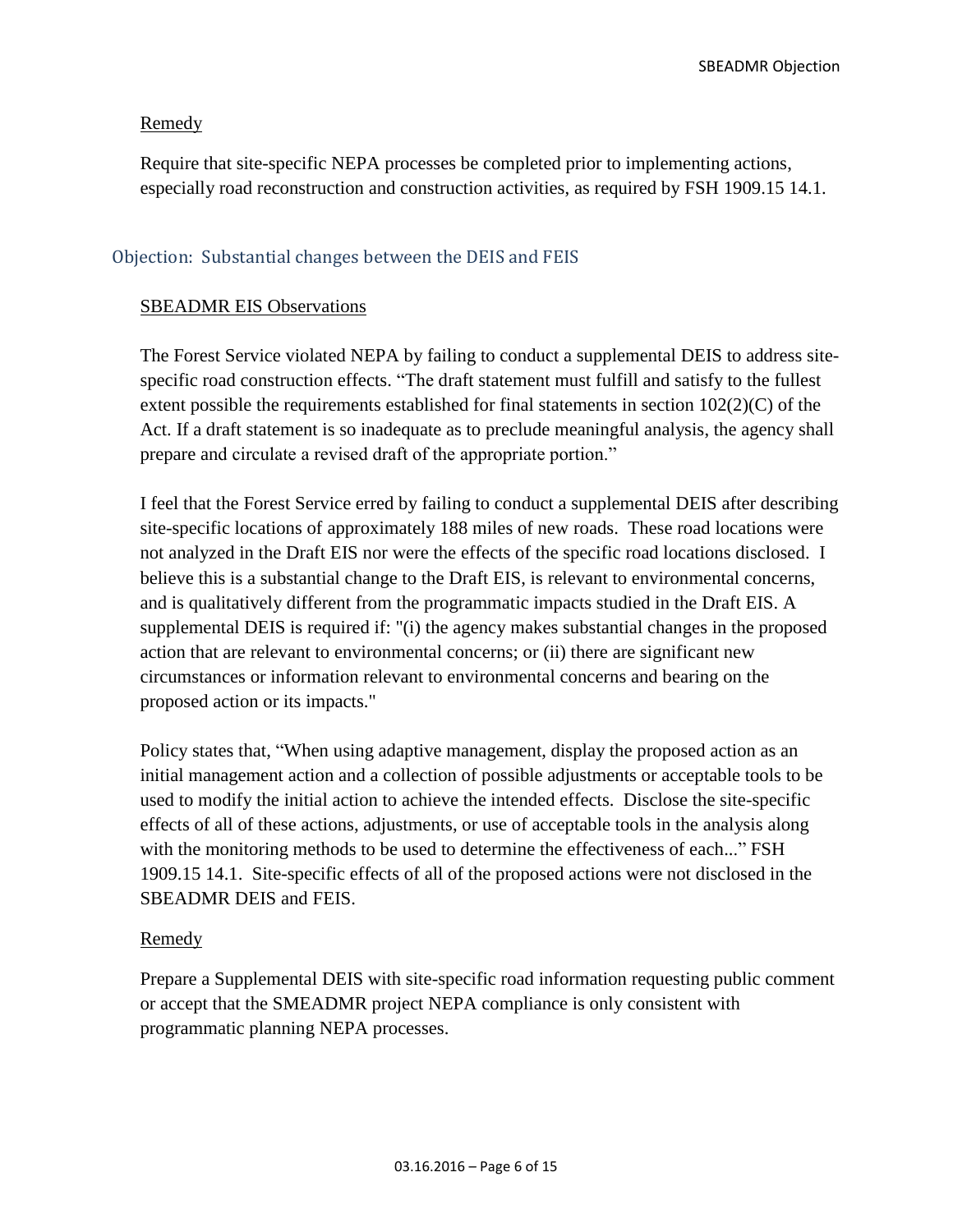#### Remedy

Require that site-specific NEPA processes be completed prior to implementing actions, especially road reconstruction and construction activities, as required by FSH 1909.15 14.1.

#### <span id="page-5-0"></span>Objection: Substantial changes between the DEIS and FEIS

#### SBEADMR EIS Observations

The Forest Service violated NEPA by failing to conduct a supplemental DEIS to address sitespecific road construction effects. "The draft statement must fulfill and satisfy to the fullest extent possible the requirements established for final statements in section 102(2)(C) of the Act. If a draft statement is so inadequate as to preclude meaningful analysis, the agency shall prepare and circulate a revised draft of the appropriate portion."

I feel that the Forest Service erred by failing to conduct a supplemental DEIS after describing site-specific locations of approximately 188 miles of new roads. These road locations were not analyzed in the Draft EIS nor were the effects of the specific road locations disclosed. I believe this is a substantial change to the Draft EIS, is relevant to environmental concerns, and is qualitatively different from the programmatic impacts studied in the Draft EIS. A supplemental DEIS is required if: "(i) the agency makes substantial changes in the proposed action that are relevant to environmental concerns; or (ii) there are significant new circumstances or information relevant to environmental concerns and bearing on the proposed action or its impacts."

Policy states that, "When using adaptive management, display the proposed action as an initial management action and a collection of possible adjustments or acceptable tools to be used to modify the initial action to achieve the intended effects. Disclose the site-specific effects of all of these actions, adjustments, or use of acceptable tools in the analysis along with the monitoring methods to be used to determine the effectiveness of each..." FSH 1909.15 14.1. Site-specific effects of all of the proposed actions were not disclosed in the SBEADMR DEIS and FEIS.

#### Remedy

Prepare a Supplemental DEIS with site-specific road information requesting public comment or accept that the SMEADMR project NEPA compliance is only consistent with programmatic planning NEPA processes.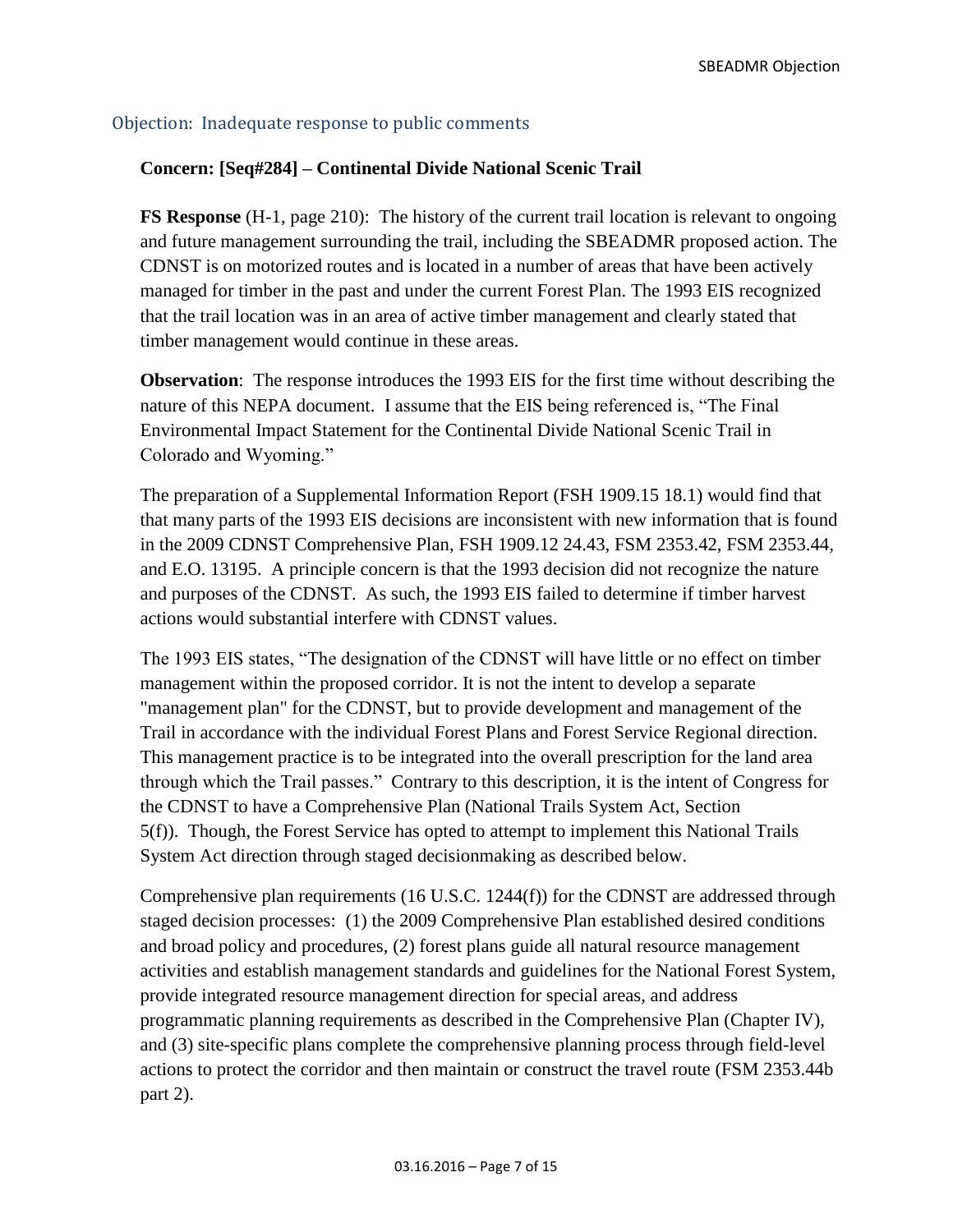## <span id="page-6-0"></span>Objection: Inadequate response to public comments

## **Concern: [Seq#284] – Continental Divide National Scenic Trail**

**FS Response** (H-1, page 210): The history of the current trail location is relevant to ongoing and future management surrounding the trail, including the SBEADMR proposed action. The CDNST is on motorized routes and is located in a number of areas that have been actively managed for timber in the past and under the current Forest Plan. The 1993 EIS recognized that the trail location was in an area of active timber management and clearly stated that timber management would continue in these areas.

**Observation**: The response introduces the 1993 EIS for the first time without describing the nature of this NEPA document. I assume that the EIS being referenced is, "The Final Environmental Impact Statement for the Continental Divide National Scenic Trail in Colorado and Wyoming."

The preparation of a Supplemental Information Report (FSH 1909.15 18.1) would find that that many parts of the 1993 EIS decisions are inconsistent with new information that is found in the 2009 CDNST Comprehensive Plan, FSH 1909.12 24.43, FSM 2353.42, FSM 2353.44, and E.O. 13195. A principle concern is that the 1993 decision did not recognize the nature and purposes of the CDNST. As such, the 1993 EIS failed to determine if timber harvest actions would substantial interfere with CDNST values.

The 1993 EIS states, "The designation of the CDNST will have little or no effect on timber management within the proposed corridor. It is not the intent to develop a separate "management plan" for the CDNST, but to provide development and management of the Trail in accordance with the individual Forest Plans and Forest Service Regional direction. This management practice is to be integrated into the overall prescription for the land area through which the Trail passes." Contrary to this description, it is the intent of Congress for the CDNST to have a Comprehensive Plan (National Trails System Act, Section 5(f)). Though, the Forest Service has opted to attempt to implement this National Trails System Act direction through staged decisionmaking as described below.

Comprehensive plan requirements (16 U.S.C. 1244(f)) for the CDNST are addressed through staged decision processes: (1) the 2009 Comprehensive Plan established desired conditions and broad policy and procedures, (2) forest plans guide all natural resource management activities and establish management standards and guidelines for the National Forest System, provide integrated resource management direction for special areas, and address programmatic planning requirements as described in the Comprehensive Plan (Chapter IV), and (3) site-specific plans complete the comprehensive planning process through field-level actions to protect the corridor and then maintain or construct the travel route (FSM 2353.44b part 2).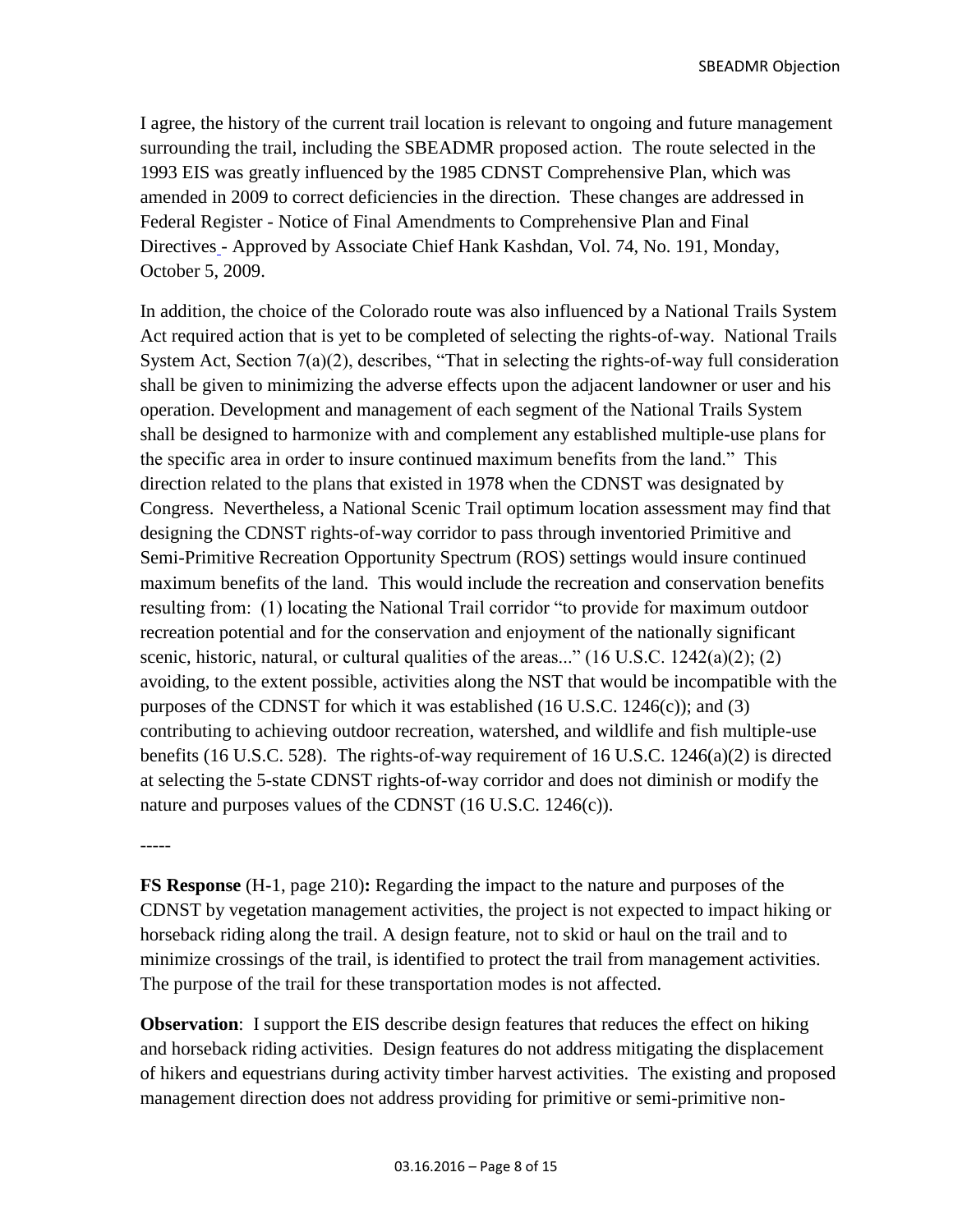I agree, the history of the current trail location is relevant to ongoing and future management surrounding the trail, including the SBEADMR proposed action. The route selected in the 1993 EIS was greatly influenced by the 1985 CDNST Comprehensive Plan, which was amended in 2009 to correct deficiencies in the direction. These changes are addressed in Federal Register - Notice of Final Amendments to Comprehensive Plan and Final Directives - Approved by Associate Chief Hank Kashdan, Vol. 74, No. 191, Monday, October 5, 2009.

In addition, the choice of the Colorado route was also influenced by a National Trails System Act required action that is yet to be completed of selecting the rights-of-way. National Trails System Act, Section 7(a)(2), describes, "That in selecting the rights-of-way full consideration shall be given to minimizing the adverse effects upon the adjacent landowner or user and his operation. Development and management of each segment of the National Trails System shall be designed to harmonize with and complement any established multiple-use plans for the specific area in order to insure continued maximum benefits from the land." This direction related to the plans that existed in 1978 when the CDNST was designated by Congress. Nevertheless, a National Scenic Trail optimum location assessment may find that designing the CDNST rights-of-way corridor to pass through inventoried Primitive and Semi-Primitive Recreation Opportunity Spectrum (ROS) settings would insure continued maximum benefits of the land. This would include the recreation and conservation benefits resulting from: (1) locating the National Trail corridor "to provide for maximum outdoor recreation potential and for the conservation and enjoyment of the nationally significant scenic, historic, natural, or cultural qualities of the areas..."  $(16 \text{ U.S.C. } 1242(a)(2); (2)$ avoiding, to the extent possible, activities along the NST that would be incompatible with the purposes of the CDNST for which it was established  $(16 \text{ U.S.C. } 1246(c))$ ; and  $(3)$ contributing to achieving outdoor recreation, watershed, and wildlife and fish multiple-use benefits (16 U.S.C. 528). The rights-of-way requirement of 16 U.S.C. 1246(a)(2) is directed at selecting the 5-state CDNST rights-of-way corridor and does not diminish or modify the nature and purposes values of the CDNST (16 U.S.C. 1246(c)).

-----

**FS Response** (H-1, page 210)**:** Regarding the impact to the nature and purposes of the CDNST by vegetation management activities, the project is not expected to impact hiking or horseback riding along the trail. A design feature, not to skid or haul on the trail and to minimize crossings of the trail, is identified to protect the trail from management activities. The purpose of the trail for these transportation modes is not affected.

**Observation**: I support the EIS describe design features that reduces the effect on hiking and horseback riding activities. Design features do not address mitigating the displacement of hikers and equestrians during activity timber harvest activities. The existing and proposed management direction does not address providing for primitive or semi-primitive non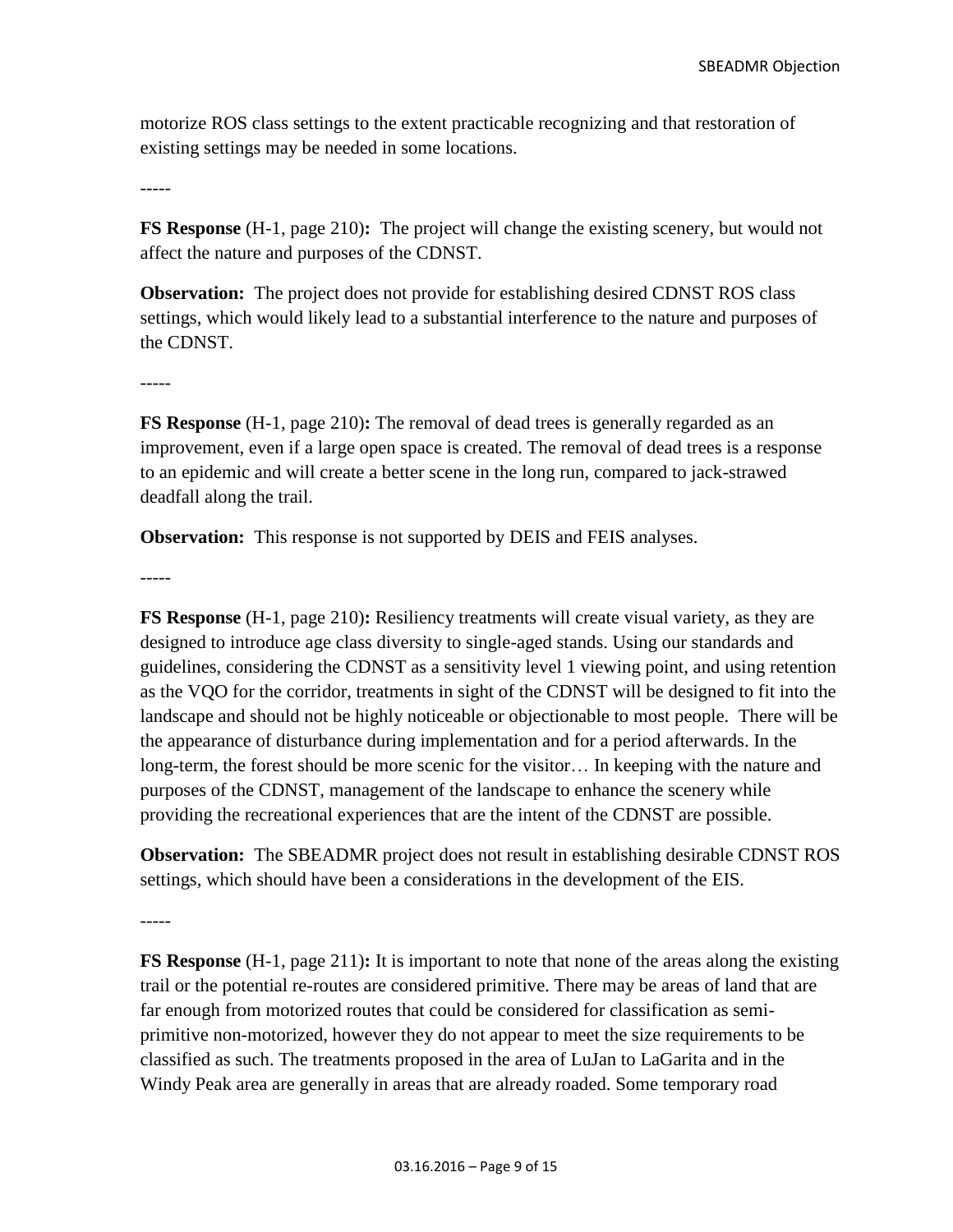motorize ROS class settings to the extent practicable recognizing and that restoration of existing settings may be needed in some locations.

-----

**FS Response** (H-1, page 210)**:** The project will change the existing scenery, but would not affect the nature and purposes of the CDNST.

**Observation:** The project does not provide for establishing desired CDNST ROS class settings, which would likely lead to a substantial interference to the nature and purposes of the CDNST.

**FS Response** (H-1, page 210)**:** The removal of dead trees is generally regarded as an improvement, even if a large open space is created. The removal of dead trees is a response to an epidemic and will create a better scene in the long run, compared to jack-strawed deadfall along the trail.

**Observation:** This response is not supported by DEIS and FEIS analyses.

-----

-----

**FS Response** (H-1, page 210)**:** Resiliency treatments will create visual variety, as they are designed to introduce age class diversity to single-aged stands. Using our standards and guidelines, considering the CDNST as a sensitivity level 1 viewing point, and using retention as the VQO for the corridor, treatments in sight of the CDNST will be designed to fit into the landscape and should not be highly noticeable or objectionable to most people. There will be the appearance of disturbance during implementation and for a period afterwards. In the long-term, the forest should be more scenic for the visitor… In keeping with the nature and purposes of the CDNST, management of the landscape to enhance the scenery while providing the recreational experiences that are the intent of the CDNST are possible.

**Observation:** The SBEADMR project does not result in establishing desirable CDNST ROS settings, which should have been a considerations in the development of the EIS.

-----

**FS Response** (H-1, page 211)**:** It is important to note that none of the areas along the existing trail or the potential re-routes are considered primitive. There may be areas of land that are far enough from motorized routes that could be considered for classification as semiprimitive non-motorized, however they do not appear to meet the size requirements to be classified as such. The treatments proposed in the area of LuJan to LaGarita and in the Windy Peak area are generally in areas that are already roaded. Some temporary road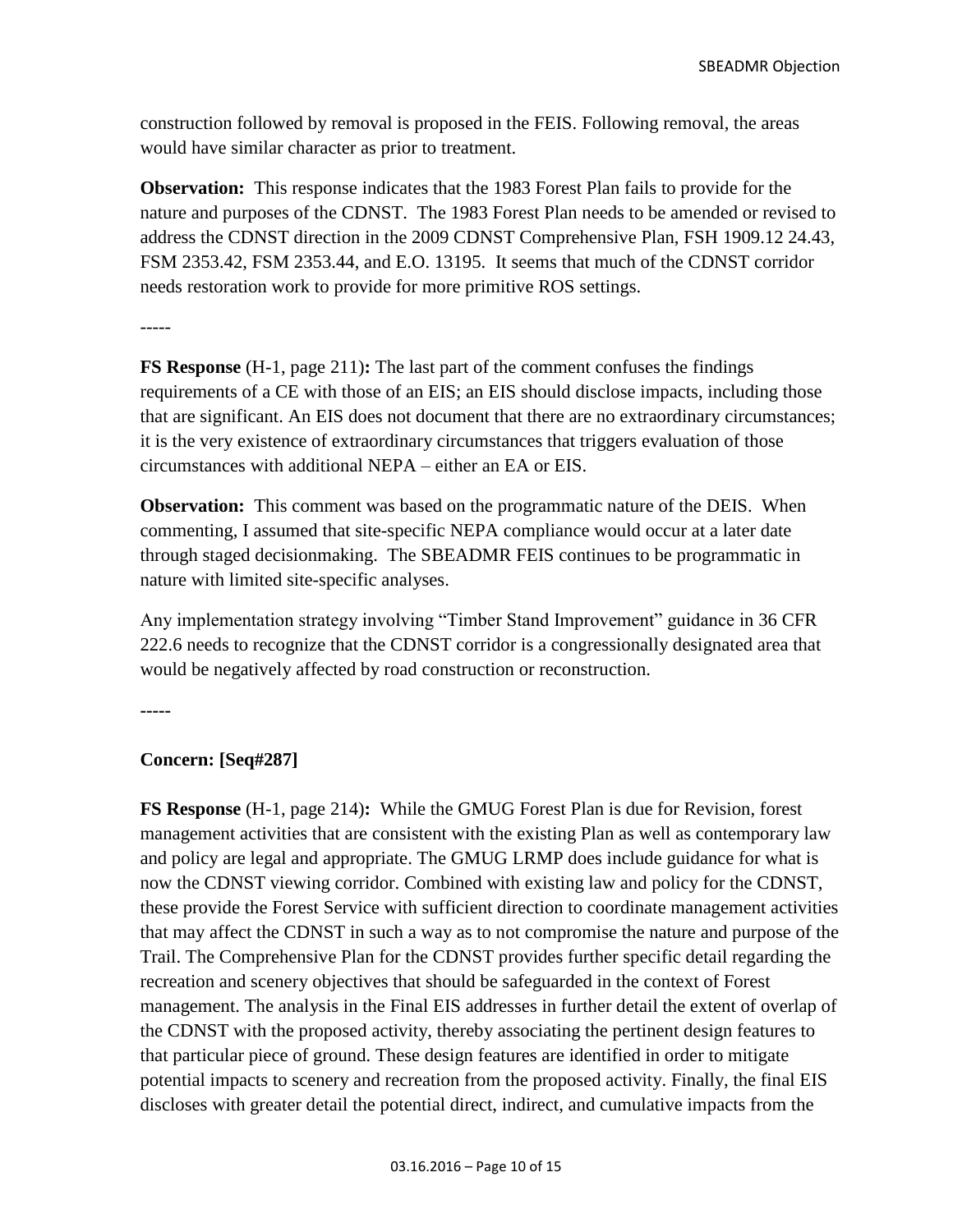construction followed by removal is proposed in the FEIS. Following removal, the areas would have similar character as prior to treatment.

**Observation:** This response indicates that the 1983 Forest Plan fails to provide for the nature and purposes of the CDNST. The 1983 Forest Plan needs to be amended or revised to address the CDNST direction in the 2009 CDNST Comprehensive Plan, FSH 1909.12 24.43, FSM 2353.42, FSM 2353.44, and E.O. 13195. It seems that much of the CDNST corridor needs restoration work to provide for more primitive ROS settings.

-----

**FS Response** (H-1, page 211)**:** The last part of the comment confuses the findings requirements of a CE with those of an EIS; an EIS should disclose impacts, including those that are significant. An EIS does not document that there are no extraordinary circumstances; it is the very existence of extraordinary circumstances that triggers evaluation of those circumstances with additional NEPA – either an EA or EIS.

**Observation:** This comment was based on the programmatic nature of the DEIS. When commenting, I assumed that site-specific NEPA compliance would occur at a later date through staged decisionmaking. The SBEADMR FEIS continues to be programmatic in nature with limited site-specific analyses.

Any implementation strategy involving "Timber Stand Improvement" guidance in 36 CFR 222.6 needs to recognize that the CDNST corridor is a congressionally designated area that would be negatively affected by road construction or reconstruction.

**-----**

#### **Concern: [Seq#287]**

**FS Response** (H-1, page 214)**:** While the GMUG Forest Plan is due for Revision, forest management activities that are consistent with the existing Plan as well as contemporary law and policy are legal and appropriate. The GMUG LRMP does include guidance for what is now the CDNST viewing corridor. Combined with existing law and policy for the CDNST, these provide the Forest Service with sufficient direction to coordinate management activities that may affect the CDNST in such a way as to not compromise the nature and purpose of the Trail. The Comprehensive Plan for the CDNST provides further specific detail regarding the recreation and scenery objectives that should be safeguarded in the context of Forest management. The analysis in the Final EIS addresses in further detail the extent of overlap of the CDNST with the proposed activity, thereby associating the pertinent design features to that particular piece of ground. These design features are identified in order to mitigate potential impacts to scenery and recreation from the proposed activity. Finally, the final EIS discloses with greater detail the potential direct, indirect, and cumulative impacts from the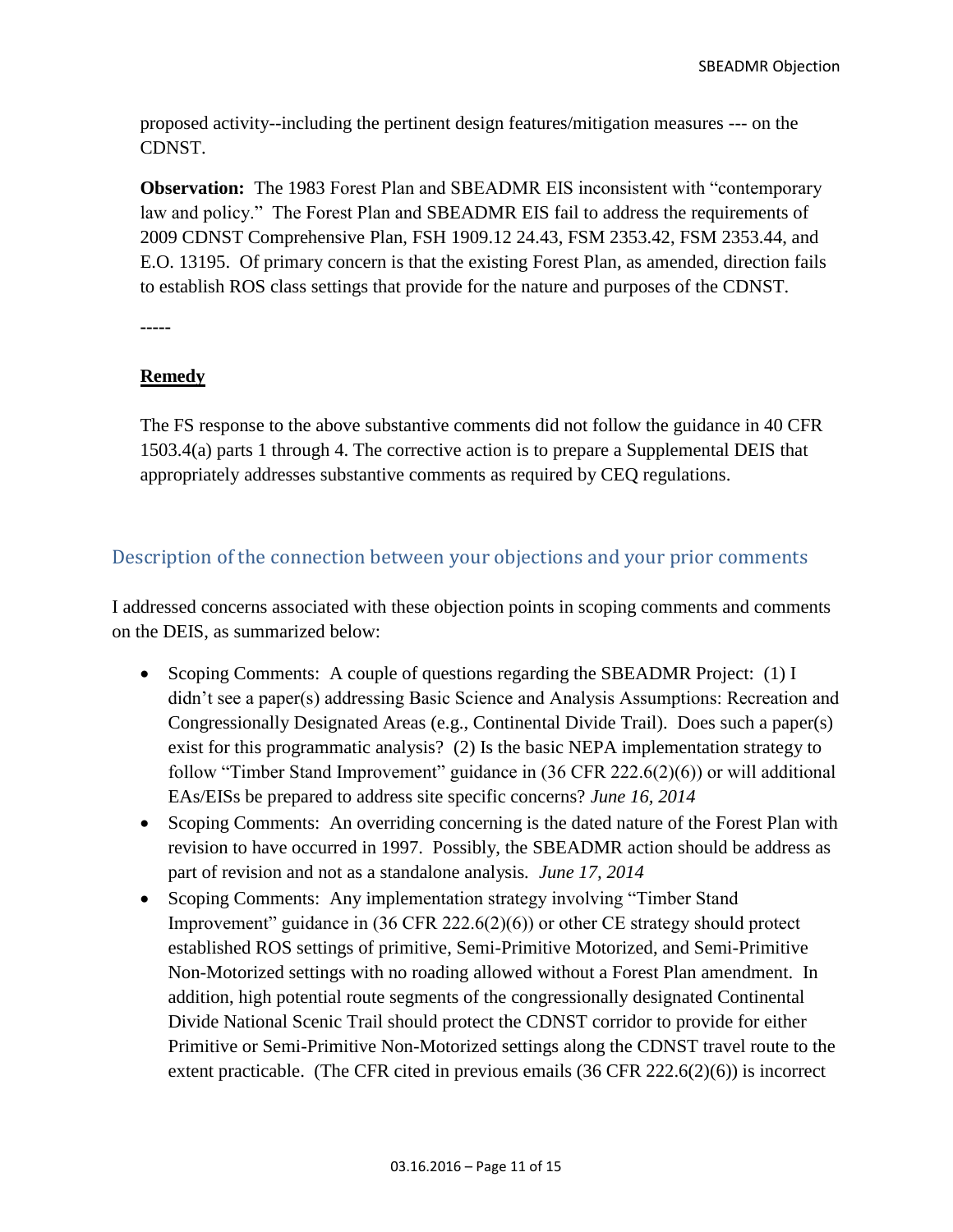proposed activity--including the pertinent design features/mitigation measures --- on the CDNST.

**Observation:** The 1983 Forest Plan and SBEADMR EIS inconsistent with "contemporary law and policy." The Forest Plan and SBEADMR EIS fail to address the requirements of 2009 CDNST Comprehensive Plan, FSH 1909.12 24.43, FSM 2353.42, FSM 2353.44, and E.O. 13195. Of primary concern is that the existing Forest Plan, as amended, direction fails to establish ROS class settings that provide for the nature and purposes of the CDNST.

**-----**

### **Remedy**

The FS response to the above substantive comments did not follow the guidance in 40 CFR 1503.4(a) parts 1 through 4. The corrective action is to prepare a Supplemental DEIS that appropriately addresses substantive comments as required by CEQ regulations.

# <span id="page-10-0"></span>Description of the connection between your objections and your prior comments

I addressed concerns associated with these objection points in scoping comments and comments on the DEIS, as summarized below:

- Scoping Comments: A couple of questions regarding the SBEADMR Project: (1) I didn't see a paper(s) addressing Basic Science and Analysis Assumptions: Recreation and Congressionally Designated Areas (e.g., Continental Divide Trail). Does such a paper(s) exist for this programmatic analysis? (2) Is the basic NEPA implementation strategy to follow "Timber Stand Improvement" guidance in (36 CFR 222.6(2)(6)) or will additional EAs/EISs be prepared to address site specific concerns? *June 16, 2014*
- Scoping Comments: An overriding concerning is the dated nature of the Forest Plan with revision to have occurred in 1997. Possibly, the SBEADMR action should be address as part of revision and not as a standalone analysis*. June 17, 2014*
- Scoping Comments: Any implementation strategy involving "Timber Stand" Improvement" guidance in (36 CFR 222.6(2)(6)) or other CE strategy should protect established ROS settings of primitive, Semi-Primitive Motorized, and Semi-Primitive Non-Motorized settings with no roading allowed without a Forest Plan amendment. In addition, high potential route segments of the congressionally designated Continental Divide National Scenic Trail should protect the CDNST corridor to provide for either Primitive or Semi-Primitive Non-Motorized settings along the CDNST travel route to the extent practicable. (The CFR cited in previous emails (36 CFR 222.6(2)(6)) is incorrect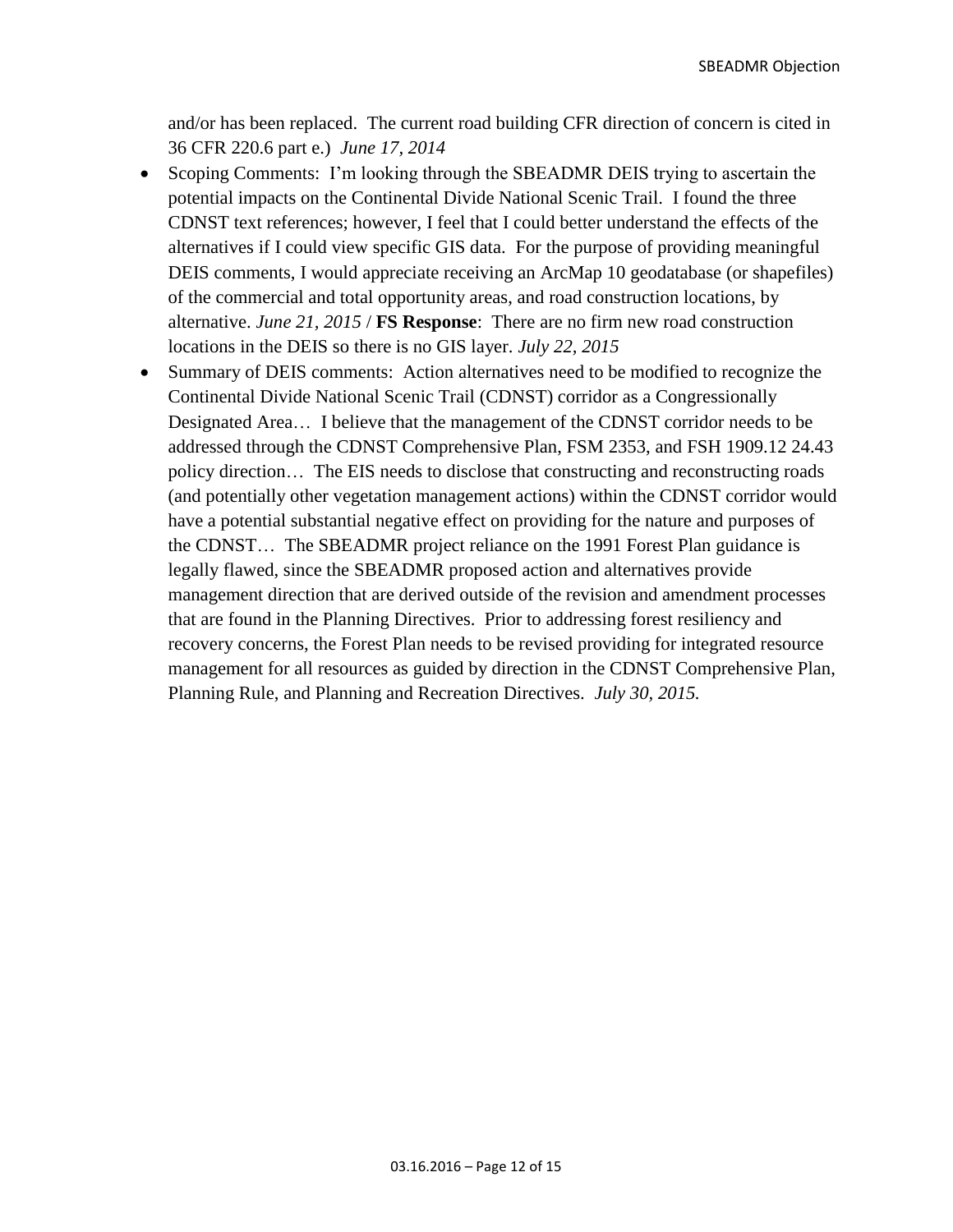and/or has been replaced. The current road building CFR direction of concern is cited in 36 CFR 220.6 part e.) *June 17, 2014*

- Scoping Comments: I'm looking through the SBEADMR DEIS trying to ascertain the potential impacts on the Continental Divide National Scenic Trail. I found the three CDNST text references; however, I feel that I could better understand the effects of the alternatives if I could view specific GIS data. For the purpose of providing meaningful DEIS comments, I would appreciate receiving an ArcMap 10 geodatabase (or shapefiles) of the commercial and total opportunity areas, and road construction locations, by alternative. *June 21, 2015* / **FS Response**: There are no firm new road construction locations in the DEIS so there is no GIS layer. *July 22, 2015*
- Summary of DEIS comments: Action alternatives need to be modified to recognize the Continental Divide National Scenic Trail (CDNST) corridor as a Congressionally Designated Area… I believe that the management of the CDNST corridor needs to be addressed through the CDNST Comprehensive Plan, FSM 2353, and FSH 1909.12 24.43 policy direction… The EIS needs to disclose that constructing and reconstructing roads (and potentially other vegetation management actions) within the CDNST corridor would have a potential substantial negative effect on providing for the nature and purposes of the CDNST… The SBEADMR project reliance on the 1991 Forest Plan guidance is legally flawed, since the SBEADMR proposed action and alternatives provide management direction that are derived outside of the revision and amendment processes that are found in the Planning Directives. Prior to addressing forest resiliency and recovery concerns, the Forest Plan needs to be revised providing for integrated resource management for all resources as guided by direction in the CDNST Comprehensive Plan, Planning Rule, and Planning and Recreation Directives. *July 30, 2015.*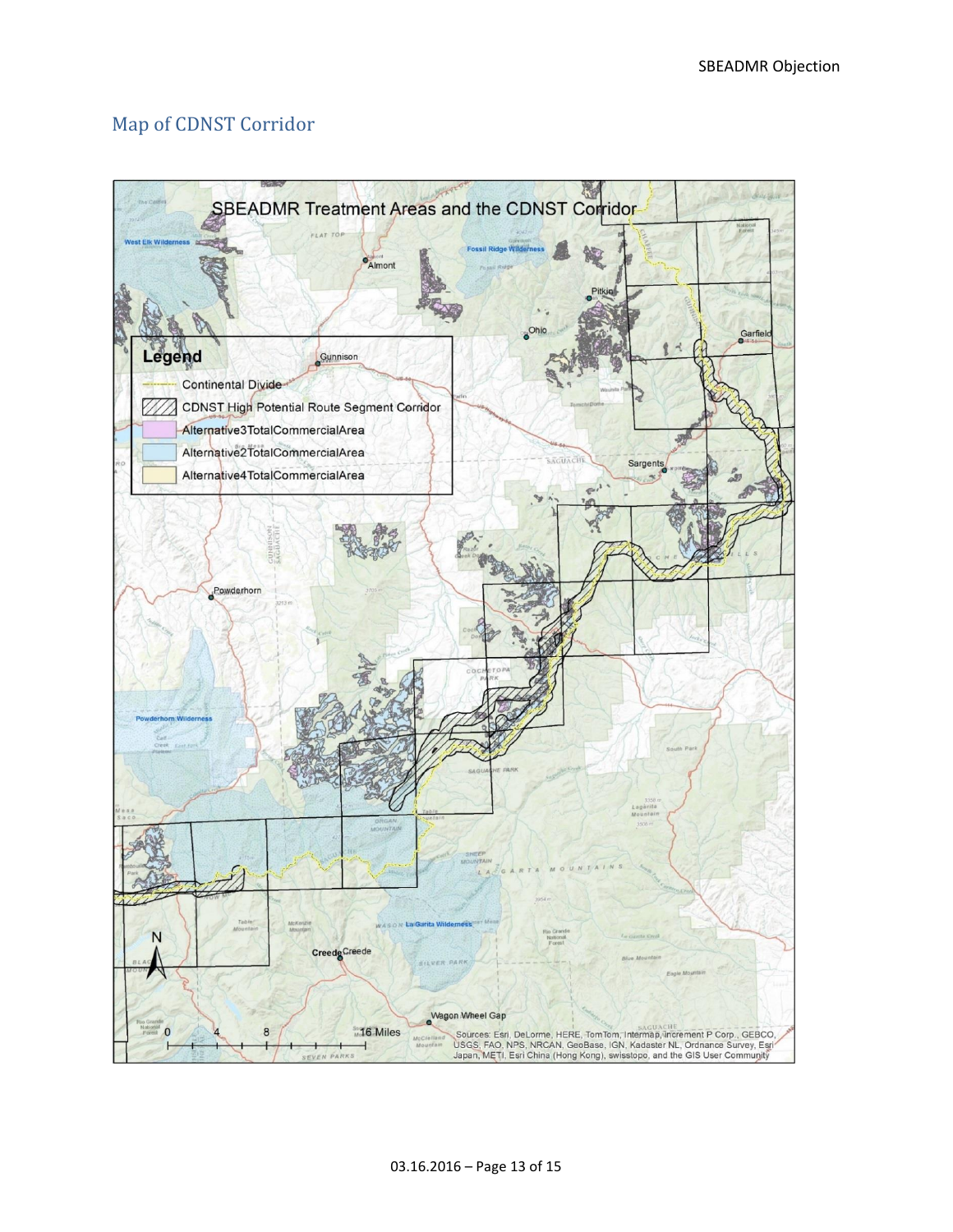# <span id="page-12-0"></span>Map of CDNST Corridor

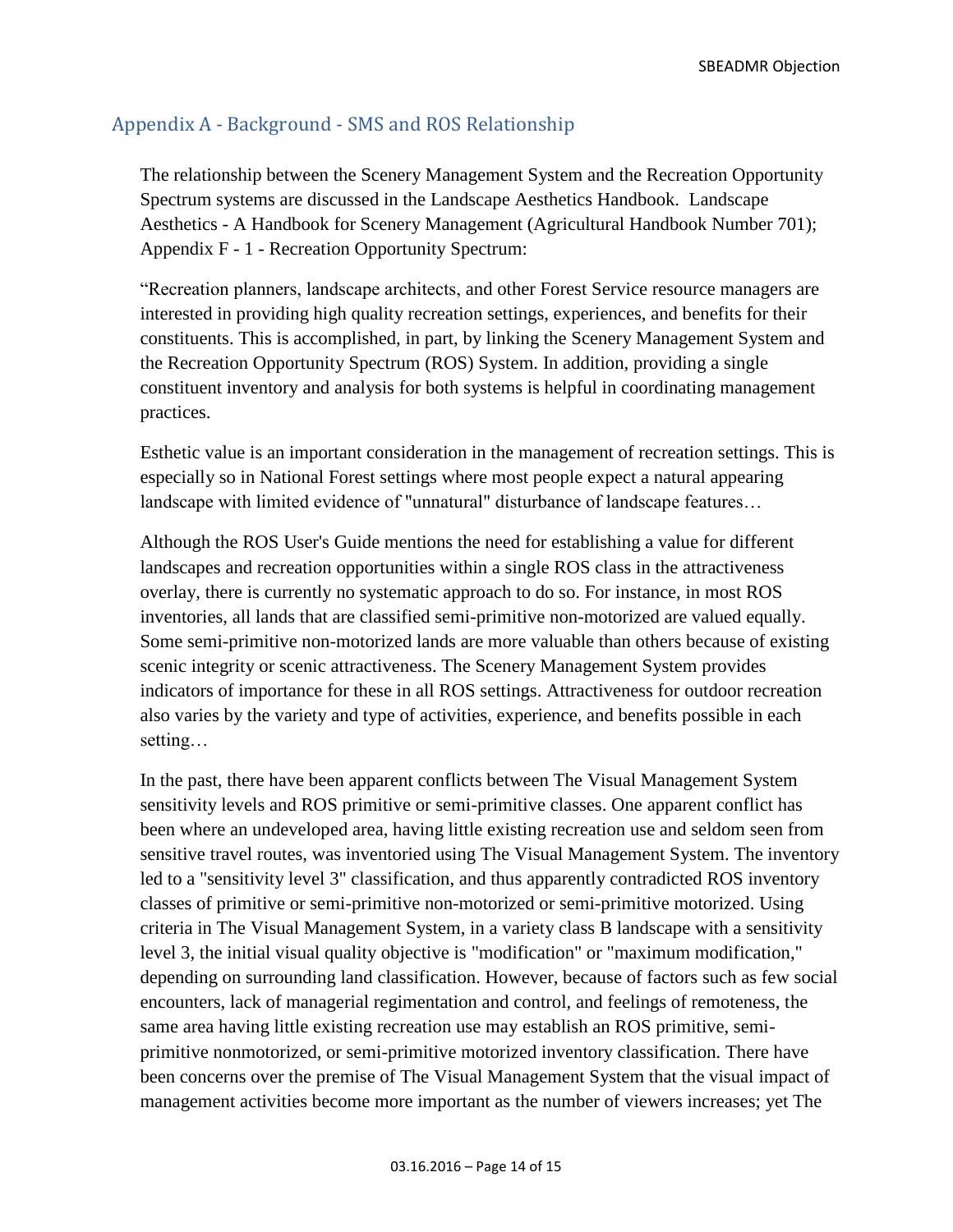# <span id="page-13-0"></span>Appendix A - Background - SMS and ROS Relationship

The relationship between the Scenery Management System and the Recreation Opportunity Spectrum systems are discussed in the Landscape Aesthetics Handbook. Landscape Aesthetics - A Handbook for Scenery Management (Agricultural Handbook Number 701); Appendix F - 1 - Recreation Opportunity Spectrum:

"Recreation planners, landscape architects, and other Forest Service resource managers are interested in providing high quality recreation settings, experiences, and benefits for their constituents. This is accomplished, in part, by linking the Scenery Management System and the Recreation Opportunity Spectrum (ROS) System. In addition, providing a single constituent inventory and analysis for both systems is helpful in coordinating management practices.

Esthetic value is an important consideration in the management of recreation settings. This is especially so in National Forest settings where most people expect a natural appearing landscape with limited evidence of "unnatural" disturbance of landscape features…

Although the ROS User's Guide mentions the need for establishing a value for different landscapes and recreation opportunities within a single ROS class in the attractiveness overlay, there is currently no systematic approach to do so. For instance, in most ROS inventories, all lands that are classified semi-primitive non-motorized are valued equally. Some semi-primitive non-motorized lands are more valuable than others because of existing scenic integrity or scenic attractiveness. The Scenery Management System provides indicators of importance for these in all ROS settings. Attractiveness for outdoor recreation also varies by the variety and type of activities, experience, and benefits possible in each setting…

In the past, there have been apparent conflicts between The Visual Management System sensitivity levels and ROS primitive or semi-primitive classes. One apparent conflict has been where an undeveloped area, having little existing recreation use and seldom seen from sensitive travel routes, was inventoried using The Visual Management System. The inventory led to a "sensitivity level 3" classification, and thus apparently contradicted ROS inventory classes of primitive or semi-primitive non-motorized or semi-primitive motorized. Using criteria in The Visual Management System, in a variety class B landscape with a sensitivity level 3, the initial visual quality objective is "modification" or "maximum modification," depending on surrounding land classification. However, because of factors such as few social encounters, lack of managerial regimentation and control, and feelings of remoteness, the same area having little existing recreation use may establish an ROS primitive, semiprimitive nonmotorized, or semi-primitive motorized inventory classification. There have been concerns over the premise of The Visual Management System that the visual impact of management activities become more important as the number of viewers increases; yet The